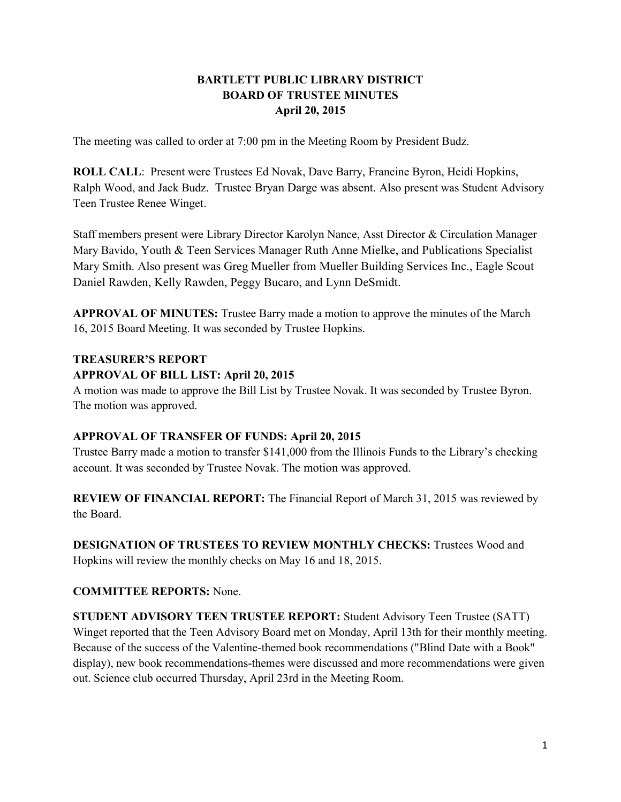## **BARTLETT PUBLIC LIBRARY DISTRICT BOARD OF TRUSTEE MINUTES April 20, 2015**

The meeting was called to order at 7:00 pm in the Meeting Room by President Budz.

**ROLL CALL**: Present were Trustees Ed Novak, Dave Barry, Francine Byron, Heidi Hopkins, Ralph Wood, and Jack Budz. Trustee Bryan Darge was absent. Also present was Student Advisory Teen Trustee Renee Winget.

Staff members present were Library Director Karolyn Nance, Asst Director & Circulation Manager Mary Bavido, Youth & Teen Services Manager Ruth Anne Mielke, and Publications Specialist Mary Smith. Also present was Greg Mueller from Mueller Building Services Inc., Eagle Scout Daniel Rawden, Kelly Rawden, Peggy Bucaro, and Lynn DeSmidt.

**APPROVAL OF MINUTES:** Trustee Barry made a motion to approve the minutes of the March 16, 2015 Board Meeting. It was seconded by Trustee Hopkins.

#### **TREASURER'S REPORT**

#### **APPROVAL OF BILL LIST: April 20, 2015**

A motion was made to approve the Bill List by Trustee Novak. It was seconded by Trustee Byron. The motion was approved.

#### **APPROVAL OF TRANSFER OF FUNDS: April 20, 2015**

Trustee Barry made a motion to transfer \$141,000 from the Illinois Funds to the Library's checking account. It was seconded by Trustee Novak. The motion was approved.

**REVIEW OF FINANCIAL REPORT:** The Financial Report of March 31, 2015 was reviewed by the Board.

**DESIGNATION OF TRUSTEES TO REVIEW MONTHLY CHECKS:** Trustees Wood and Hopkins will review the monthly checks on May 16 and 18, 2015.

# **COMMITTEE REPORTS:** None.

**STUDENT ADVISORY TEEN TRUSTEE REPORT:** Student Advisory Teen Trustee (SATT) Winget reported that the Teen Advisory Board met on Monday, April 13th for their monthly meeting. Because of the success of the Valentine-themed book recommendations ("Blind Date with a Book" display), new book recommendations-themes were discussed and more recommendations were given out. Science club occurred Thursday, April 23rd in the Meeting Room.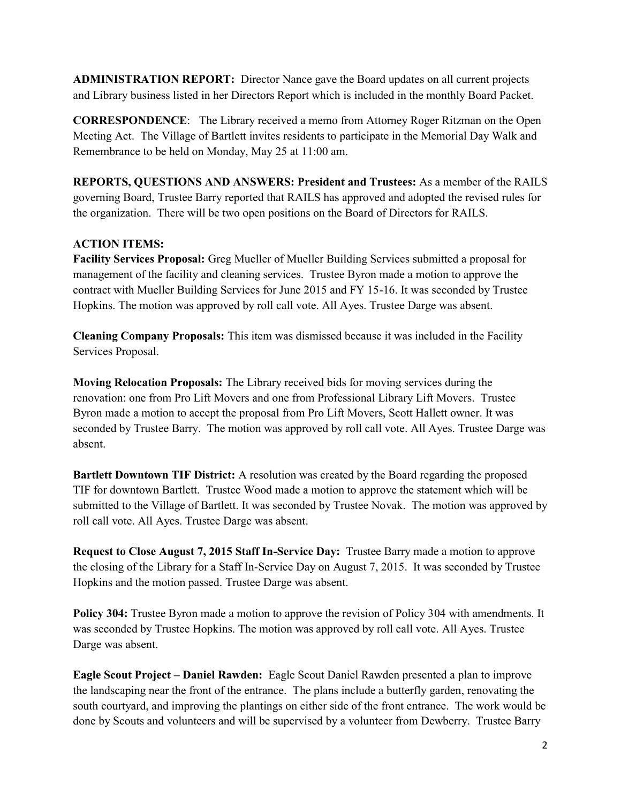**ADMINISTRATION REPORT:** Director Nance gave the Board updates on all current projects and Library business listed in her Directors Report which is included in the monthly Board Packet.

**CORRESPONDENCE**: The Library received a memo from Attorney Roger Ritzman on the Open Meeting Act. The Village of Bartlett invites residents to participate in the Memorial Day Walk and Remembrance to be held on Monday, May 25 at 11:00 am.

**REPORTS, QUESTIONS AND ANSWERS: President and Trustees:** As a member of the RAILS governing Board, Trustee Barry reported that RAILS has approved and adopted the revised rules for the organization. There will be two open positions on the Board of Directors for RAILS.

## **ACTION ITEMS:**

**Facility Services Proposal:** Greg Mueller of Mueller Building Services submitted a proposal for management of the facility and cleaning services. Trustee Byron made a motion to approve the contract with Mueller Building Services for June 2015 and FY 15-16. It was seconded by Trustee Hopkins. The motion was approved by roll call vote. All Ayes. Trustee Darge was absent.

**Cleaning Company Proposals:** This item was dismissed because it was included in the Facility Services Proposal.

**Moving Relocation Proposals:** The Library received bids for moving services during the renovation: one from Pro Lift Movers and one from Professional Library Lift Movers. Trustee Byron made a motion to accept the proposal from Pro Lift Movers, Scott Hallett owner. It was seconded by Trustee Barry. The motion was approved by roll call vote. All Ayes. Trustee Darge was absent.

**Bartlett Downtown TIF District:** A resolution was created by the Board regarding the proposed TIF for downtown Bartlett. Trustee Wood made a motion to approve the statement which will be submitted to the Village of Bartlett. It was seconded by Trustee Novak. The motion was approved by roll call vote. All Ayes. Trustee Darge was absent.

**Request to Close August 7, 2015 Staff In-Service Day:** Trustee Barry made a motion to approve the closing of the Library for a Staff In-Service Day on August 7, 2015. It was seconded by Trustee Hopkins and the motion passed. Trustee Darge was absent.

**Policy 304:** Trustee Byron made a motion to approve the revision of Policy 304 with amendments. It was seconded by Trustee Hopkins. The motion was approved by roll call vote. All Ayes. Trustee Darge was absent.

**Eagle Scout Project – Daniel Rawden:** Eagle Scout Daniel Rawden presented a plan to improve the landscaping near the front of the entrance. The plans include a butterfly garden, renovating the south courtyard, and improving the plantings on either side of the front entrance. The work would be done by Scouts and volunteers and will be supervised by a volunteer from Dewberry. Trustee Barry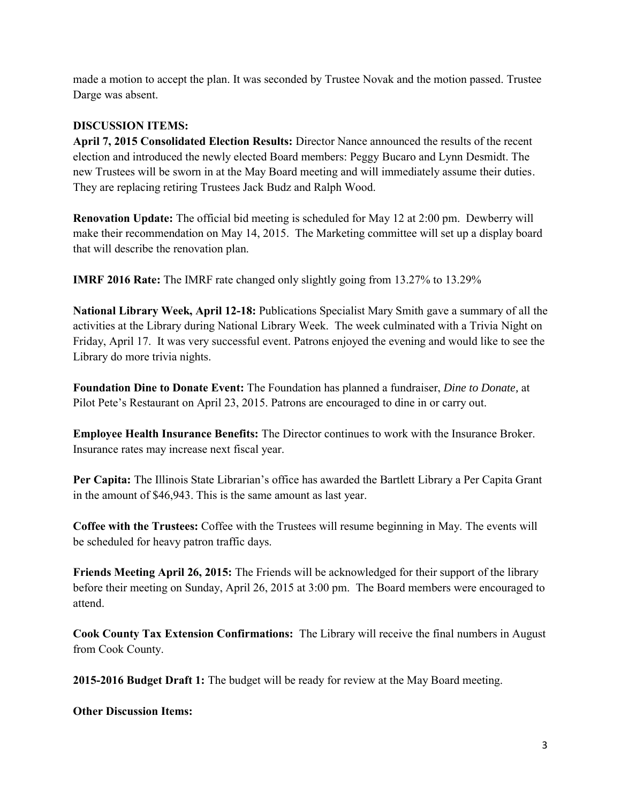made a motion to accept the plan. It was seconded by Trustee Novak and the motion passed. Trustee Darge was absent.

## **DISCUSSION ITEMS:**

**April 7, 2015 Consolidated Election Results:** Director Nance announced the results of the recent election and introduced the newly elected Board members: Peggy Bucaro and Lynn Desmidt. The new Trustees will be sworn in at the May Board meeting and will immediately assume their duties. They are replacing retiring Trustees Jack Budz and Ralph Wood.

**Renovation Update:** The official bid meeting is scheduled for May 12 at 2:00 pm. Dewberry will make their recommendation on May 14, 2015. The Marketing committee will set up a display board that will describe the renovation plan.

**IMRF 2016 Rate:** The IMRF rate changed only slightly going from 13.27% to 13.29%

**National Library Week, April 12-18:** Publications Specialist Mary Smith gave a summary of all the activities at the Library during National Library Week. The week culminated with a Trivia Night on Friday, April 17. It was very successful event. Patrons enjoyed the evening and would like to see the Library do more trivia nights.

**Foundation Dine to Donate Event:** The Foundation has planned a fundraiser, *Dine to Donate,* at Pilot Pete's Restaurant on April 23, 2015. Patrons are encouraged to dine in or carry out.

**Employee Health Insurance Benefits:** The Director continues to work with the Insurance Broker. Insurance rates may increase next fiscal year.

**Per Capita:** The Illinois State Librarian's office has awarded the Bartlett Library a Per Capita Grant in the amount of \$46,943. This is the same amount as last year.

**Coffee with the Trustees:** Coffee with the Trustees will resume beginning in May. The events will be scheduled for heavy patron traffic days.

**Friends Meeting April 26, 2015:** The Friends will be acknowledged for their support of the library before their meeting on Sunday, April 26, 2015 at 3:00 pm. The Board members were encouraged to attend.

**Cook County Tax Extension Confirmations:** The Library will receive the final numbers in August from Cook County.

**2015-2016 Budget Draft 1:** The budget will be ready for review at the May Board meeting.

**Other Discussion Items:**